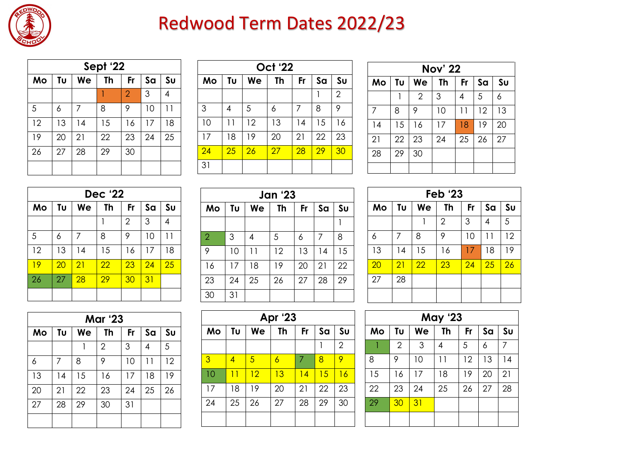

## Redwood Term Dates 2022/23

| Sept '22 |    |    |           |                |    |                |  |
|----------|----|----|-----------|----------------|----|----------------|--|
| Mo       | Tυ | We | <b>Th</b> | <b>Fr</b>      | Sa | S <sub>U</sub> |  |
|          |    |    |           | $\overline{2}$ | 3  |                |  |
| 5        | 6  |    | 8         | 9              | 10 | 11             |  |
| 12       | 13 | 14 | 15        | 16             | 17 | 18             |  |
| 19       | 20 | 21 | 22        | 23             | 24 | 25             |  |
| 26       | 27 | 28 | 29        | 30             |    |                |  |
|          |    |    |           |                |    |                |  |

| <b>Oct '22</b> |    |    |    |                 |    |                |  |  |
|----------------|----|----|----|-----------------|----|----------------|--|--|
| Mo             | Tυ | We | Th | Fr              | Sa | S <sub>U</sub> |  |  |
|                |    |    |    |                 |    | $\overline{2}$ |  |  |
| 3              | 4  | 5  | 6  | 7               | 8  | 9              |  |  |
| 10             | 11 | 12 | 13 | 14              | 15 | 16             |  |  |
| 17             | 18 | 19 | 20 | 21              | 22 | 23             |  |  |
| 24             | 25 | 26 | 27 | $\overline{28}$ | 29 | 30             |  |  |
| 31             |    |    |    |                 |    |                |  |  |

| <b>Nov' 22</b> |    |                |           |    |    |                |  |  |
|----------------|----|----------------|-----------|----|----|----------------|--|--|
| Mo             | Tυ | We             | <b>Th</b> | Fr | Sa | S <sub>U</sub> |  |  |
|                |    | $\overline{2}$ | 3         | 4  | 5  | 6              |  |  |
| $\overline{7}$ | 8  | 9              | 10        | 11 | 12 | 13             |  |  |
| 14             | 15 | 16             | 17        | 18 | 19 | 20             |  |  |
| 21             | 22 | 23             | 24        | 25 | 26 | 27             |  |  |
| 28             | 29 | 30             |           |    |    |                |  |  |
|                |    |                |           |    |    |                |  |  |

| <b>Dec '22</b> |    |    |    |                 |    |                |  |
|----------------|----|----|----|-----------------|----|----------------|--|
| Mo             | Tυ | We | Th | Fr              | Sa | S <sub>U</sub> |  |
|                |    |    | 1  | $\overline{2}$  | 3  | 4              |  |
| 5              | 6  | 7  | 8  | 9               | 10 | 11             |  |
| 12             | 13 | 14 | 15 | 16              | 17 | 18             |  |
| 19             | 20 | 21 | 22 | $\overline{23}$ | 24 | 25             |  |
| 26             | 27 | 28 | 29 | 30              | 31 |                |  |
|                |    |    |    |                 |    |                |  |

| <b>Jan '23</b> |    |    |    |    |    |                |  |
|----------------|----|----|----|----|----|----------------|--|
| Mo             | Tυ | We | Th | Fr | Sa | S <sub>U</sub> |  |
|                |    |    |    |    |    |                |  |
| $\overline{2}$ | 3  | 4  | 5  | 6  | 7  | 8              |  |
| 9              | 10 | 11 | 12 | 13 | 14 | 15             |  |
| 16             | 17 | 18 | 19 | 20 | 21 | 22             |  |
| 23             | 24 | 25 | 26 | 27 | 28 | 29             |  |
| 30             | 31 |    |    |    |    |                |  |

| <b>Feb '23</b>  |    |                 |                |           |    |                 |  |
|-----------------|----|-----------------|----------------|-----------|----|-----------------|--|
| Mo              | Tu | We              | Th             | <b>Fr</b> | Sa | S <sub>U</sub>  |  |
|                 |    |                 | $\overline{2}$ | 3         | 4  | 5               |  |
| 6               | 7  | 8               | 9              | 10        | 11 | 12              |  |
| 13              | 14 | 15              | 16             | 17        | 18 | 19              |  |
| $\overline{20}$ | 21 | $\overline{22}$ | 23             | 24        | 25 | $\overline{26}$ |  |
| 27              | 28 |                 |                |           |    |                 |  |
|                 |    |                 |                |           |    |                 |  |

| <b>Mar '23</b> |    |    |                |    |    |                |  |
|----------------|----|----|----------------|----|----|----------------|--|
| Mo             | Tυ | We | Th             | Fr | Sa | S <sub>U</sub> |  |
|                |    |    | $\overline{2}$ | 3  | 4  | 5              |  |
| 6              | 7  | 8  | 9              | 10 | 11 | 12             |  |
| 13             | 14 | 15 | 16             | 17 | 18 | 19             |  |
| 20             | 21 | 22 | 23             | 24 | 25 | 26             |  |
| 27             | 28 | 29 | 30             | 31 |    |                |  |
|                |    |    |                |    |    |                |  |

| Apr '23 |    |    |    |    |    |                |  |
|---------|----|----|----|----|----|----------------|--|
| Mo      | Tυ | We | Th | Fr | Sa | Su             |  |
|         |    |    |    |    |    | $\overline{2}$ |  |
| 3       | 4  | 5  | 6  | 7  | 8  | 9              |  |
| 10      | 11 | 12 | 13 | 14 | 15 | 16             |  |
| 17      | 18 | 19 | 20 | 21 | 22 | 23             |  |
| 24      | 25 | 26 | 27 | 28 | 29 | 30             |  |
|         |    |    |    |    |    |                |  |

| <b>May '23</b> |                |    |    |    |    |    |  |
|----------------|----------------|----|----|----|----|----|--|
| Mo             | Tυ             | We | Th | Fr | Sa | Su |  |
|                | $\overline{2}$ | 3  | 4  | 5  | 6  | 7  |  |
| 8              | 9              | 10 | 11 | 12 | 13 | 14 |  |
| 15             | 16             | 17 | 18 | 19 | 20 | 21 |  |
| 22             | 23             | 24 | 25 | 26 | 27 | 28 |  |
| 29             | 30             | 31 |    |    |    |    |  |
|                |                |    |    |    |    |    |  |